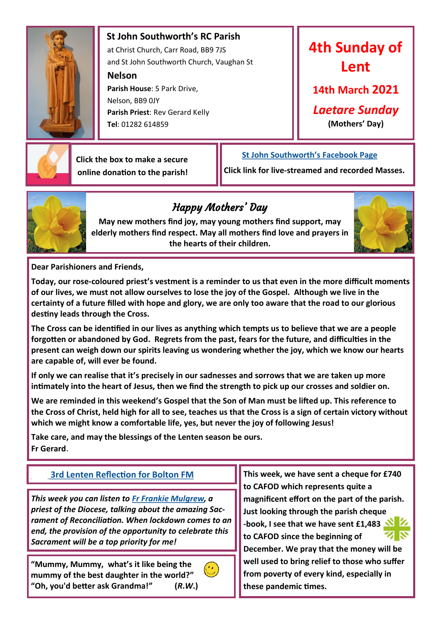

 **St John Southworth's RC Parish** at Christ Church, Carr Road, BB9 7JS and St John Southworth Church, Vaughan St

**Nelson**

 **Parish House**: 5 Park Drive, Nelson, BB9 0JY **Parish Priest**: Rev Gerard Kelly **Tel**: 01282 614859

# **4th Sunday of Lent**

**14th March 2021**

*Laetare Sunday*

**(Mothers' Day)**



 **Click the box to make a secure online donation to the parish!**

## **[St John Southworth's Facebook Page](https://www.facebook.com/Parish-of-St-John-Southworth-in-Nelson-105718084323986)**

**Click link for live-streamed and recorded Masses.**



## Happy Mothers' Day

**May new mothers find joy, may young mothers find support, may elderly mothers find respect. May all mothers find love and prayers in the hearts of their children.**



**Dear Parishioners and Friends,**

**Today, our rose-coloured priest's vestment is a reminder to us that even in the more difficult moments of our lives, we must not allow ourselves to lose the joy of the Gospel. Although we live in the certainty of a future filled with hope and glory, we are only too aware that the road to our glorious destiny leads through the Cross.**

**The Cross can be identified in our lives as anything which tempts us to believe that we are a people forgotten or abandoned by God. Regrets from the past, fears for the future, and difficulties in the present can weigh down our spirits leaving us wondering whether the joy, which we know our hearts are capable of, will ever be found.**

**If only we can realise that it's precisely in our sadnesses and sorrows that we are taken up more intimately into the heart of Jesus, then we find the strength to pick up our crosses and soldier on.** 

**We are reminded in this weekend's Gospel that the Son of Man must be lifted up. This reference to the Cross of Christ, held high for all to see, teaches us that the Cross is a sign of certain victory without which we might know a comfortable life, yes, but never the joy of following Jesus!**

**Take care, and may the blessings of the Lenten season be ours. Fr Gerard**.

*This week you can listen to [Fr Frankie Mulgrew,](https://www.youtube.com/watch?v=4bxv_wpG2nQ) a priest of the Diocese, talking about the amazing Sacrament of Reconciliation. When lockdown comes to an end, the provision of the opportunity to celebrate this Sacrament will be a top priority for me!*

**"Mummy, Mummy, what's it like being the mummy of the best daughter in the world?" "Oh, you'd better ask Grandma!" (***R***.***W***.)** 



**[3rd Lenten Reflection for Bolton FM](https://drive.google.com/file/d/1UyANwnNA3p4jt6ObOb5pfX2a-wt1TGO9/view?usp=sharing) This week, we have sent a cheque for £740 to CAFOD which represents quite a magnificent effort on the part of the parish. Just looking through the parish cheque -book, I see that we have sent £1,483 to CAFOD since the beginning of December. We pray that the money will be well used to bring relief to those who suffer from poverty of every kind, especially in these pandemic times.**